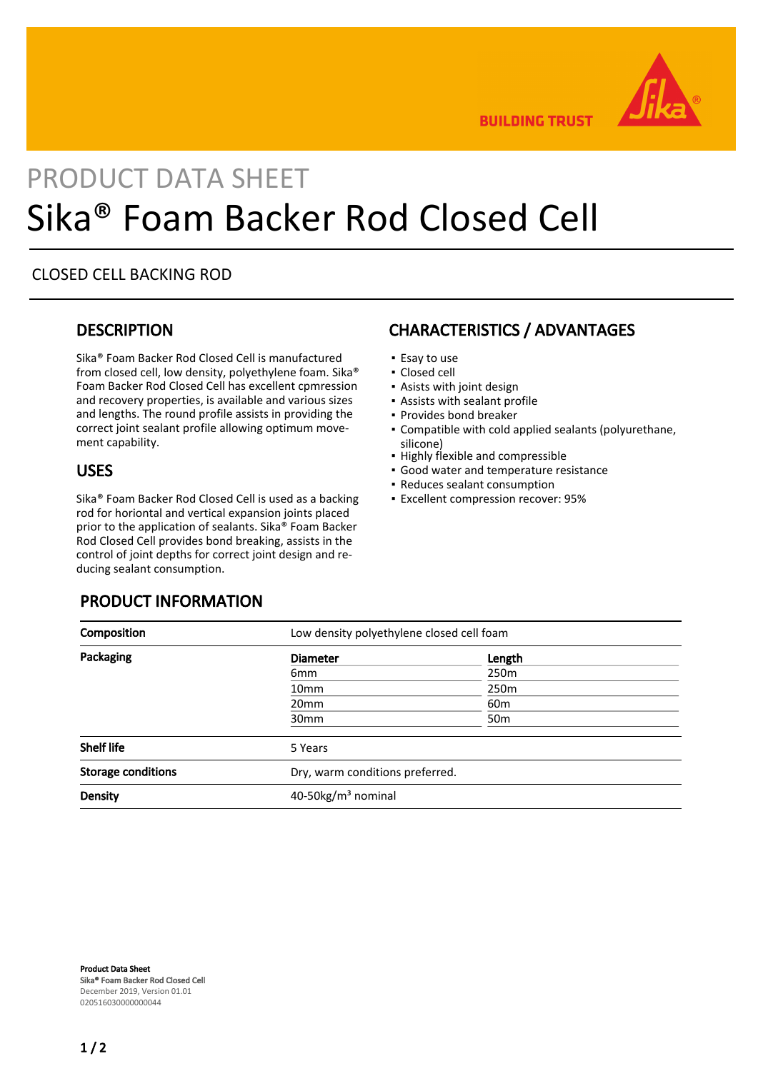

**BUILDING TRUST** 

# PRODUCT DATA SHEET Sika® Foam Backer Rod Closed Cell

#### CLOSED CELL BACKING ROD

#### **DESCRIPTION**

Sika® Foam Backer Rod Closed Cell is manufactured from closed cell, low density, polyethylene foam. Sika® Foam Backer Rod Closed Cell has excellent cpmression and recovery properties, is available and various sizes and lengths. The round profile assists in providing the correct joint sealant profile allowing optimum movement capability.

#### USES

Sika® Foam Backer Rod Closed Cell is used as a backing rod for horiontal and vertical expansion joints placed prior to the application of sealants. Sika® Foam Backer Rod Closed Cell provides bond breaking, assists in the control of joint depths for correct joint design and reducing sealant consumption.

#### PRODUCT INFORMATION

## CHARACTERISTICS / ADVANTAGES

- Esay to use
- Closed cell
- **Asists with joint design**
- Assists with sealant profile
- Provides bond breaker
- Compatible with cold applied sealants (polyurethane, silicone)
- Highly flexible and compressible
- Good water and temperature resistance
- Reduces sealant consumption
- Excellent compression recover: 95%

| Composition               | Low density polyethylene closed cell foam |                  |  |
|---------------------------|-------------------------------------------|------------------|--|
| Packaging                 | <b>Diameter</b>                           | Length           |  |
|                           | 6mm                                       | 250m             |  |
|                           | 10 <sub>mm</sub>                          | 250 <sub>m</sub> |  |
|                           | 20 <sub>mm</sub>                          | 60 <sub>m</sub>  |  |
|                           | 30 <sub>mm</sub>                          | 50 <sub>m</sub>  |  |
| <b>Shelf life</b>         | 5 Years                                   |                  |  |
| <b>Storage conditions</b> | Dry, warm conditions preferred.           |                  |  |
| <b>Density</b>            | 40-50kg/m <sup>3</sup> nominal            |                  |  |